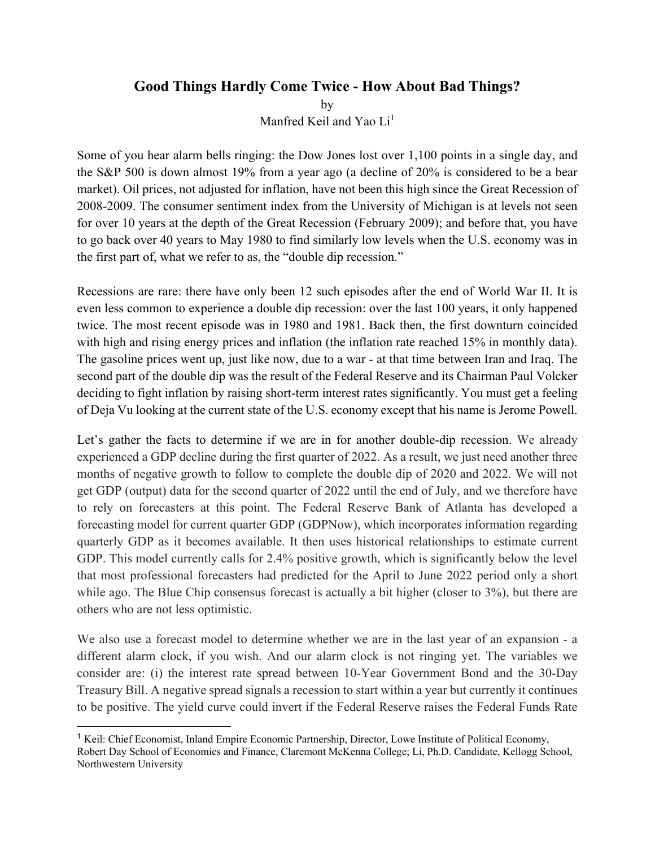## **Good Things Hardly Come Twice - How About Bad Things?**

by

Manfred Keil and Yao Li<sup>1</sup>

Some of you hear alarm bells ringing: the Dow Jones lost over 1,100 points in a single day, and the S&P 500 is down almost 19% from a year ago (a decline of 20% is considered to be a bear market). Oil prices, not adjusted for inflation, have not been this high since the Great Recession of 2008-2009. The consumer sentiment index from the University of Michigan is at levels not seen for over 10 years at the depth of the Great Recession (February 2009); and before that, you have to go back over 40 years to May 1980 to find similarly low levels when the U.S. economy was in the first part of, what we refer to as, the "double dip recession."

Recessions are rare: there have only been 12 such episodes after the end of World War II. It is even less common to experience a double dip recession: over the last 100 years, it only happened twice. The most recent episode was in 1980 and 1981. Back then, the first downturn coincided with high and rising energy prices and inflation (the inflation rate reached 15% in monthly data). The gasoline prices went up, just like now, due to a war - at that time between Iran and Iraq. The second part of the double dip was the result of the Federal Reserve and its Chairman Paul Volcker deciding to fight inflation by raising short-term interest rates significantly. You must get a feeling of Deja Vu looking at the current state of the U.S. economy except that his name is Jerome Powell.

Let's gather the facts to determine if we are in for another double-dip recession. We already experienced a GDP decline during the first quarter of 2022. As a result, we just need another three months of negative growth to follow to complete the double dip of 2020 and 2022. We will not get GDP (output) data for the second quarter of 2022 until the end of July, and we therefore have to rely on forecasters at this point. The Federal Reserve Bank of Atlanta has developed a forecasting model for current quarter GDP (GDPNow), which incorporates information regarding quarterly GDP as it becomes available. It then uses historical relationships to estimate current GDP. This model currently calls for 2.4% positive growth, which is significantly below the level that most professional forecasters had predicted for the April to June 2022 period only a short while ago. The Blue Chip consensus forecast is actually a bit higher (closer to 3%), but there are others who are not less optimistic.

We also use a forecast model to determine whether we are in the last year of an expansion - a different alarm clock, if you wish. And our alarm clock is not ringing yet. The variables we consider are: (i) the interest rate spread between 10-Year Government Bond and the 30-Day Treasury Bill. A negative spread signals a recession to start within a year but currently it continues to be positive. The yield curve could invert if the Federal Reserve raises the Federal Funds Rate

 $\overline{a}$ 

<sup>1</sup> Keil: Chief Economist, Inland Empire Economic Partnership, Director, Lowe Institute of Political Economy, Robert Day School of Economics and Finance, Claremont McKenna College; Li, Ph.D. Candidate, Kellogg School, Northwestern University